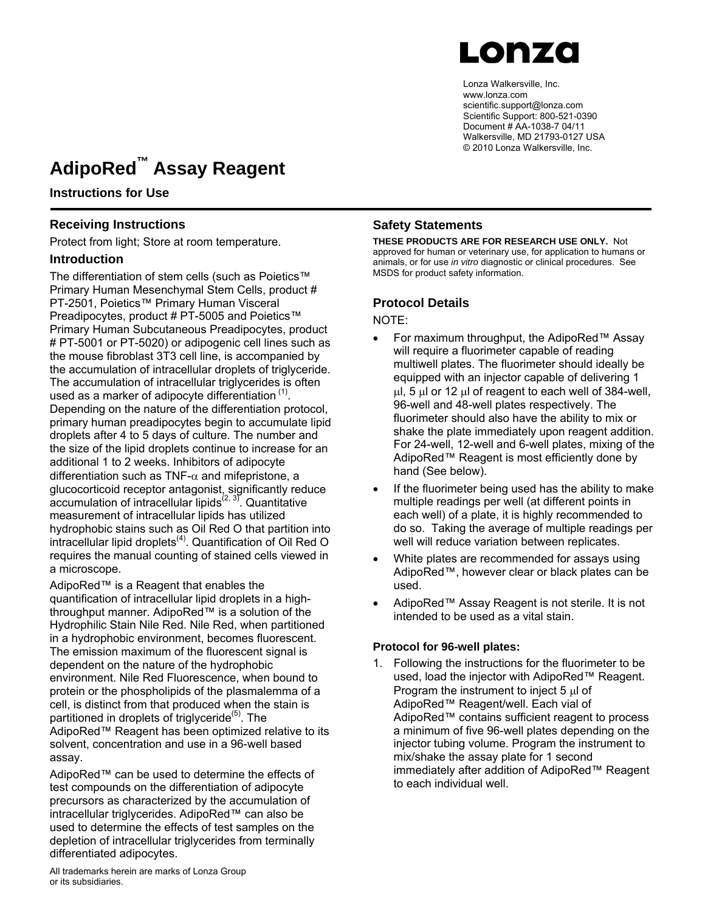

Lonza Walkersville, Inc. www.lonza.com scientific.support@lonza.com Scientific Support: 800-521-0390 Document # AA-1038-7 04/11 Walkersville, MD 21793-0127 USA © 2010 Lonza Walkersville, Inc.

## **AdipoRed™ Assay Reagent**

**Instructions for Use**

### **Receiving Instructions**

Protect from light; Store at room temperature.

### **Introduction**

The differentiation of stem cells (such as Poietics™ Primary Human Mesenchymal Stem Cells, product # PT-2501, Poietics™ Primary Human Visceral Preadipocytes, product # PT-5005 and Poietics™ Primary Human Subcutaneous Preadipocytes, product # PT-5001 or PT-5020) or adipogenic cell lines such as the mouse fibroblast 3T3 cell line, is accompanied by the accumulation of intracellular droplets of triglyceride. The accumulation of intracellular triglycerides is often used as a marker of adipocyte differentiation  $(1)$ . Depending on the nature of the differentiation protocol, primary human preadipocytes begin to accumulate lipid droplets after 4 to 5 days of culture. The number and the size of the lipid droplets continue to increase for an additional 1 to 2 weeks. Inhibitors of adipocyte differentiation such as TNF- $\alpha$  and mifepristone, a glucocorticoid receptor antagonist, significantly reduce  $\alpha$ ccumulation of intracellular lipids<sup>(2, 3)</sup>. Quantitative measurement of intracellular lipids has utilized hydrophobic stains such as Oil Red O that partition into  $interacellular lipid droplets<sup>(4)</sup>. Quantification of Oil Red O$ requires the manual counting of stained cells viewed in a microscope.

AdipoRed™ is a Reagent that enables the quantification of intracellular lipid droplets in a highthroughput manner. AdipoRed™ is a solution of the Hydrophilic Stain Nile Red. Nile Red, when partitioned in a hydrophobic environment, becomes fluorescent. The emission maximum of the fluorescent signal is dependent on the nature of the hydrophobic environment. Nile Red Fluorescence, when bound to protein or the phospholipids of the plasmalemma of a cell, is distinct from that produced when the stain is partitioned in droplets of triglyceride<sup> $(5)$ </sup>. The AdipoRed™ Reagent has been optimized relative to its solvent, concentration and use in a 96-well based assay.

AdipoRed™ can be used to determine the effects of test compounds on the differentiation of adipocyte precursors as characterized by the accumulation of intracellular triglycerides. AdipoRed™ can also be used to determine the effects of test samples on the depletion of intracellular triglycerides from terminally differentiated adipocytes.

### **Safety Statements**

**THESE PRODUCTS ARE FOR RESEARCH USE ONLY.** Not approved for human or veterinary use, for application to humans or animals, or for use *in vitro* diagnostic or clinical procedures. See MSDS for product safety information.

### **Protocol Details**

NOTE:

- For maximum throughput, the AdipoRed™ Assay will require a fluorimeter capable of reading multiwell plates. The fluorimeter should ideally be equipped with an injector capable of delivering 1 μl, 5 μl or 12 μl of reagent to each well of 384-well, 96-well and 48-well plates respectively. The fluorimeter should also have the ability to mix or shake the plate immediately upon reagent addition. For 24-well, 12-well and 6-well plates, mixing of the AdipoRed™ Reagent is most efficiently done by hand (See below).
- If the fluorimeter being used has the ability to make multiple readings per well (at different points in each well) of a plate, it is highly recommended to do so. Taking the average of multiple readings per well will reduce variation between replicates.
- White plates are recommended for assays using AdipoRed™, however clear or black plates can be used.
- AdipoRed™ Assay Reagent is not sterile. It is not intended to be used as a vital stain.

### **Protocol for 96-well plates:**

1. Following the instructions for the fluorimeter to be used, load the injector with AdipoRed™ Reagent. Program the instrument to inject 5 μl of AdipoRed™ Reagent/well. Each vial of AdipoRed™ contains sufficient reagent to process a minimum of five 96-well plates depending on the injector tubing volume. Program the instrument to mix/shake the assay plate for 1 second immediately after addition of AdipoRed™ Reagent to each individual well.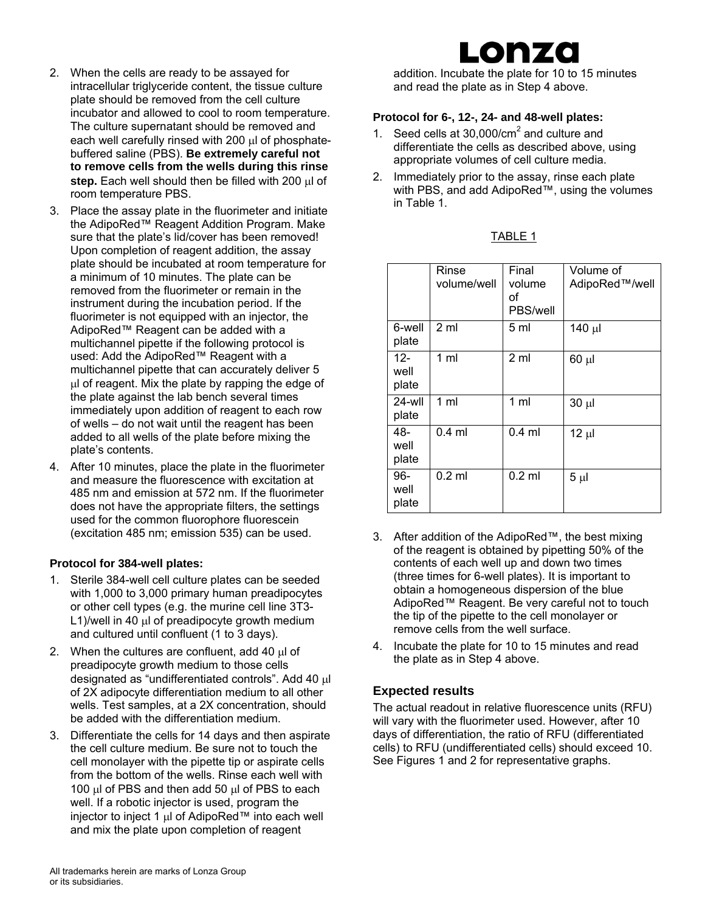- 2. When the cells are ready to be assayed for intracellular triglyceride content, the tissue culture plate should be removed from the cell culture incubator and allowed to cool to room temperature. The culture supernatant should be removed and each well carefully rinsed with 200 μl of phosphatebuffered saline (PBS). **Be extremely careful not to remove cells from the wells during this rinse step.** Each well should then be filled with 200 μl of room temperature PBS.
- 3. Place the assay plate in the fluorimeter and initiate the AdipoRed™ Reagent Addition Program. Make sure that the plate's lid/cover has been removed! Upon completion of reagent addition, the assay plate should be incubated at room temperature for a minimum of 10 minutes. The plate can be removed from the fluorimeter or remain in the instrument during the incubation period. If the fluorimeter is not equipped with an injector, the AdipoRed™ Reagent can be added with a multichannel pipette if the following protocol is used: Add the AdipoRed™ Reagent with a multichannel pipette that can accurately deliver 5 μl of reagent. Mix the plate by rapping the edge of the plate against the lab bench several times immediately upon addition of reagent to each row of wells – do not wait until the reagent has been added to all wells of the plate before mixing the plate's contents.
- 4. After 10 minutes, place the plate in the fluorimeter and measure the fluorescence with excitation at 485 nm and emission at 572 nm. If the fluorimeter does not have the appropriate filters, the settings used for the common fluorophore fluorescein (excitation 485 nm; emission 535) can be used.

### **Protocol for 384-well plates:**

- 1. Sterile 384-well cell culture plates can be seeded with 1,000 to 3,000 primary human preadipocytes or other cell types (e.g. the murine cell line 3T3- L1)/well in 40 μl of preadipocyte growth medium and cultured until confluent (1 to 3 days).
- 2. When the cultures are confluent, add 40 μl of preadipocyte growth medium to those cells designated as "undifferentiated controls". Add 40 μl of 2X adipocyte differentiation medium to all other wells. Test samples, at a 2X concentration, should be added with the differentiation medium.
- 3. Differentiate the cells for 14 days and then aspirate the cell culture medium. Be sure not to touch the cell monolayer with the pipette tip or aspirate cells from the bottom of the wells. Rinse each well with 100 μl of PBS and then add 50 μl of PBS to each well. If a robotic injector is used, program the injector to inject 1 μl of AdipoRed™ into each well and mix the plate upon completion of reagent

## onza

addition. Incubate the plate for 10 to 15 minutes and read the plate as in Step 4 above.

### **Protocol for 6-, 12-, 24- and 48-well plates:**

- 1. Seed cells at  $30,000/cm<sup>2</sup>$  and culture and differentiate the cells as described above, using appropriate volumes of cell culture media.
- 2. Immediately prior to the assay, rinse each plate with PBS, and add AdipoRed™, using the volumes in Table 1.

| ARI<br>c |  |
|----------|--|
|          |  |
|          |  |
|          |  |

|                      | Rinse<br>volume/well | Final<br>volume<br>οf<br>PBS/well | Volume of<br>AdipoRed™/well |
|----------------------|----------------------|-----------------------------------|-----------------------------|
| 6-well<br>plate      | 2 <sub>m</sub>       | 5 ml                              | 140 µl                      |
| 12-<br>well<br>plate | 1 ml                 | 2 <sub>m</sub>                    | $60 \mu$                    |
| 24-wll<br>plate      | $1 \text{ ml}$       | 1 <sub>m</sub>                    | $30 \mu$                    |
| 48-<br>well<br>plate | $0.4$ ml             | $0.4$ ml                          | $12 \mu$                    |
| 96-<br>well<br>plate | $0.2$ ml             | $0.2$ ml                          | $5 \mu$                     |

- 3. After addition of the AdipoRed™, the best mixing of the reagent is obtained by pipetting 50% of the contents of each well up and down two times (three times for 6-well plates). It is important to obtain a homogeneous dispersion of the blue AdipoRed™ Reagent. Be very careful not to touch the tip of the pipette to the cell monolayer or remove cells from the well surface.
- 4. Incubate the plate for 10 to 15 minutes and read the plate as in Step 4 above.

### **Expected results**

The actual readout in relative fluorescence units (RFU) will vary with the fluorimeter used. However, after 10 days of differentiation, the ratio of RFU (differentiated cells) to RFU (undifferentiated cells) should exceed 10. See Figures 1 and 2 for representative graphs.